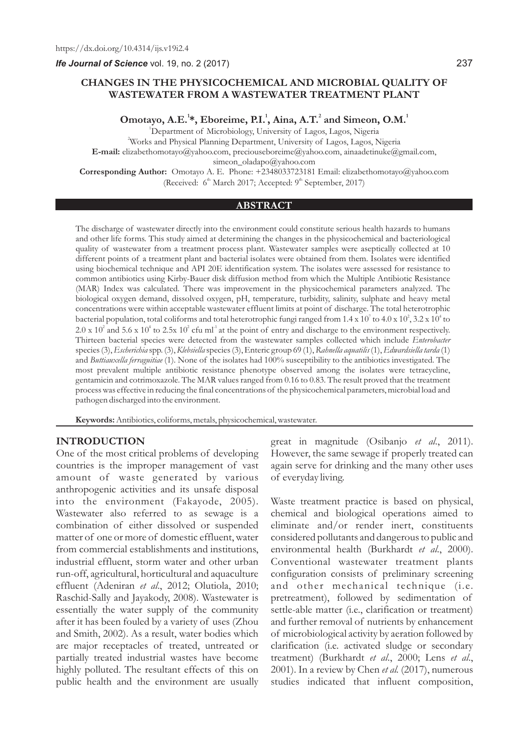*Ife Journal of Science* vol. 19, no. 2 (2017)

# **CHANGES IN THE PHYSICOCHEMICAL AND MICROBIAL QUALITY OF WASTEWATER FROM A WASTEWATER TREATMENT PLANT**

**<sup>1</sup> <sup>1</sup> <sup>2</sup> <sup>1</sup> Omotayo, A.E. \*, Eboreime, P.I. , Aina, A.T. and Simeon, O.M.**

<sup>1</sup>Department of Microbiology, University of Lagos, Lagos, Nigeria <sup>2</sup>Works and Physical Planning Department, University of Lagos, Lagos, Nigeria **E-mail:** elizabethomotayo@yahoo.com, preciouseboreime@yahoo.com, ainaadetinuke@gmail.com, simeon\_oladapo@yahoo.com **Corresponding Author:** Omotayo A. E. Phone: +2348033723181 Email: elizabethomotayo@yahoo.com

(Received:  $6<sup>th</sup>$  March 2017; Accepted:  $9<sup>th</sup>$  September, 2017)

#### **ABSTRACT**

The discharge of wastewater directly into the environment could constitute serious health hazards to humans and other life forms. This study aimed at determining the changes in the physicochemical and bacteriological quality of wastewater from a treatment process plant. Wastewater samples were aseptically collected at 10 different points of a treatment plant and bacterial isolates were obtained from them. Isolates were identified using biochemical technique and API 20E identification system. The isolates were assessed for resistance to common antibiotics using Kirby-Bauer disk diffusion method from which the Multiple Antibiotic Resistance (MAR) Index was calculated. There was improvement in the physicochemical parameters analyzed. The biological oxygen demand, dissolved oxygen, pH, temperature, turbidity, salinity, sulphate and heavy metal concentrations were within acceptable wastewater effluent limits at point of discharge. The total heterotrophic bacterial population, total coliforms and total heterotrophic fungi ranged from 1.4 x 10 $^7$  to 4.0 x 10 $^2$ , 3.2 x 10 $^4$  to  $2.0 \times 10^2$  and  $5.6 \times 10^4$  to  $2.5 \times 10^2$  cfu ml<sup>-1</sup> at the point of entry and discharge to the environment respectively. Thirteen bacterial species were detected from the wastewater samples collected which include *Enterobacter* species (3), *Escherichia* spp. (3), *Klebsiella* species (3), Enteric group 69 (1), *Rahnella aquatilis* (1), *Edwardsiella tarda* (1) and *Buttiauxella ferraguitiae* (1). None of the isolates had 100% susceptibility to the antibiotics investigated. The most prevalent multiple antibiotic resistance phenotype observed among the isolates were tetracycline, gentamicin and cotrimoxazole. The MAR values ranged from 0.16 to 0.83. The result proved that the treatment process was effective in reducing the final concentrations of the physicochemical parameters, microbial load and pathogen discharged into the environment.

**Keywords:**Antibiotics, coliforms, metals, physicochemical, wastewater.

#### **INTRODUCTION**

One of the most critical problems of developing countries is the improper management of vast amount of waste generated by various anthropogenic activities and its unsafe disposal into the environment (Fakayode, 2005). Wastewater also referred to as sewage is a combination of either dissolved or suspended matter of one or more of domestic effluent, water from commercial establishments and institutions, industrial effluent, storm water and other urban run-off, agricultural, horticultural and aquaculture effluent (Adeniran *et al*., 2012; Olutiola, 2010; Raschid-Sally and Jayakody, 2008). Wastewater is essentially the water supply of the community after it has been fouled by a variety of uses (Zhou and Smith, 2002). As a result, water bodies which are major receptacles of treated, untreated or partially treated industrial wastes have become highly polluted. The resultant effects of this on public health and the environment are usually

great in magnitude (Osibanjo *et al*., 2011). However, the same sewage if properly treated can again serve for drinking and the many other uses of everyday living.

Waste treatment practice is based on physical, chemical and biological operations aimed to eliminate and/or render inert, constituents considered pollutants and dangerous to public and environmental health (Burkhardt *et al*., 2000). Conventional wastewater treatment plants configuration consists of preliminary screening and other mechanical technique (i.e. pretreatment), followed by sedimentation of settle-able matter (i.e., clarification or treatment) and further removal of nutrients by enhancement of microbiological activity by aeration followed by clarification (i.e. activated sludge or secondary treatment) (Burkhardt *et al*., 2000; Lens *et al*., 2001). In a review by Chen *et al.* (2017), numerous studies indicated that influent composition,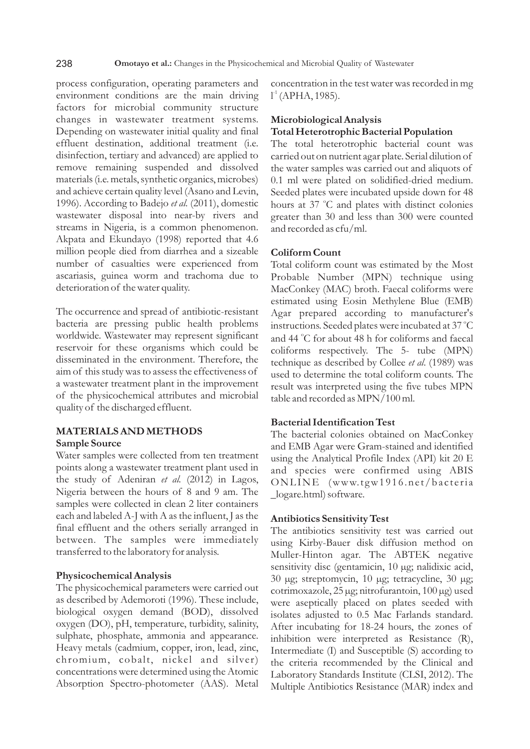process configuration, operating parameters and environment conditions are the main driving factors for microbial community structure changes in wastewater treatment systems. Depending on wastewater initial quality and final effluent destination, additional treatment (i.e. disinfection, tertiary and advanced) are applied to remove remaining suspended and dissolved materials (i.e. metals, synthetic organics, microbes) and achieve certain quality level (Asano and Levin, 1996). According to Badejo *et al.* (2011), domestic wastewater disposal into near-by rivers and streams in Nigeria, is a common phenomenon. Akpata and Ekundayo (1998) reported that 4.6 million people died from diarrhea and a sizeable number of casualties were experienced from ascariasis, guinea worm and trachoma due to deterioration of the water quality.

The occurrence and spread of antibiotic-resistant bacteria are pressing public health problems worldwide. Wastewater may represent significant reservoir for these organisms which could be disseminated in the environment. Therefore, the aim of this study was to assess the effectiveness of a wastewater treatment plant in the improvement of the physicochemical attributes and microbial quality of the discharged effluent.

### **MATERIALS AND METHODS Sample Source**

Water samples were collected from ten treatment points along a wastewater treatment plant used in the study of Adeniran *et al.* (2012) in Lagos, Nigeria between the hours of 8 and 9 am. The samples were collected in clean 2 liter containers each and labeled A-J with A as the influent, J as the final effluent and the others serially arranged in between. The samples were immediately transferred to the laboratory for analysis.

# **Physicochemical Analysis**

The physicochemical parameters were carried out as described by Ademoroti (1996). These include, biological oxygen demand (BOD), dissolved oxygen (DO), pH, temperature, turbidity, salinity, sulphate, phosphate, ammonia and appearance. Heavy metals (cadmium, copper, iron, lead, zinc, chromium, cobalt, nickel and silver) concentrations were determined using the Atomic Absorption Spectro-photometer (AAS). Metal

concentration in the test water was recorded in mg  $l^1$  (APHA, 1985).

# **Microbiological Analysis Total Heterotrophic Bacterial Population**

The total heterotrophic bacterial count was carried out on nutrient agar plate. Serial dilution of the water samples was carried out and aliquots of 0.1 ml were plated on solidified-dried medium. Seeded plates were incubated upside down for 48 hours at 37 °C and plates with distinct colonies greater than 30 and less than 300 were counted and recorded as cfu/ml.

## **Coliform Count**

Total coliform count was estimated by the Most Probable Number (MPN) technique using MacConkey (MAC) broth. Faecal coliforms were estimated using Eosin Methylene Blue (EMB) Agar prepared according to manufacturer's instructions. Seeded plates were incubated at 37 °C and 44 °C for about 48 h for coliforms and faecal coliforms respectively. The 5- tube (MPN) technique as described by Collee *et al*. (1989) was used to determine the total coliform counts. The result was interpreted using the five tubes MPN table and recorded as MPN/100 ml.

#### **Bacterial Identification Test**

The bacterial colonies obtained on MacConkey and EMB Agar were Gram-stained and identified using the Analytical Profile Index (API) kit 20 E and species were confirmed using ABIS ONLINE (www.tgw1916.net/bacteria \_logare.html) software.

#### **Antibiotics Sensitivity Test**

The antibiotics sensitivity test was carried out using Kirby-Bauer disk diffusion method on Muller-Hinton agar. The ABTEK negative sensitivity disc (gentamicin, 10 µg; nalidixic acid, 30 µg; streptomycin, 10 µg; tetracycline, 30 µg; cotrimoxazole, 25 µg; nitrofurantoin, 100 µg) used were aseptically placed on plates seeded with isolates adjusted to 0.5 Mac Farlands standard. After incubating for 18-24 hours, the zones of inhibition were interpreted as Resistance (R), Intermediate (I) and Susceptible (S) according to the criteria recommended by the Clinical and Laboratory Standards Institute (CLSI, 2012). The Multiple Antibiotics Resistance (MAR) index and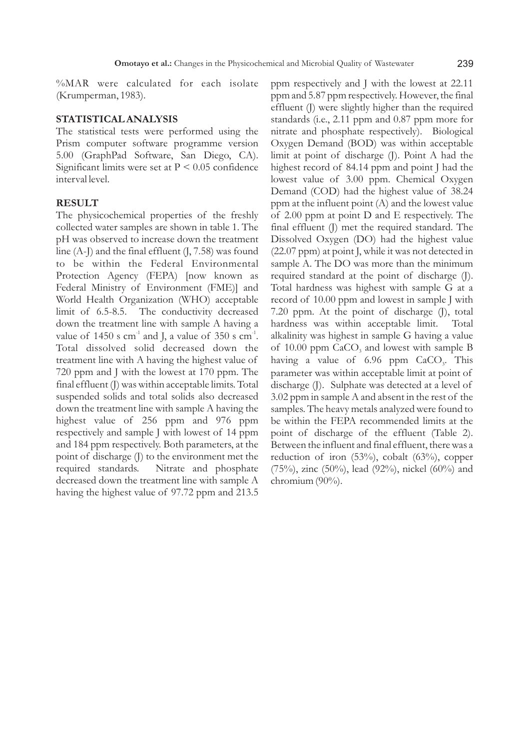%MAR were calculated for each isolate (Krumperman, 1983).

#### **STATISTICAL ANALYSIS**

The statistical tests were performed using the Prism computer software programme version 5.00 (GraphPad Software, San Diego, CA). Significant limits were set at  $P < 0.05$  confidence interval level.

# **RESULT**

The physicochemical properties of the freshly collected water samples are shown in table 1. The pH was observed to increase down the treatment line  $(A-I)$  and the final effluent  $(I, 7.58)$  was found to be within the Federal Environmental Protection Agency (FEPA) [now known as Federal Ministry of Environment (FME)] and World Health Organization (WHO) acceptable limit of 6.5-8.5. The conductivity decreased down the treatment line with sample A having a value of 1450 s  $cm<sup>-1</sup>$  and J, a value of 350 s  $cm<sup>-1</sup>$ . Total dissolved solid decreased down the treatment line with A having the highest value of 720 ppm and J with the lowest at 170 ppm. The final effluent (J) was within acceptable limits. Total suspended solids and total solids also decreased down the treatment line with sample A having the highest value of 256 ppm and 976 ppm respectively and sample J with lowest of 14 ppm and 184 ppm respectively. Both parameters, at the point of discharge (J) to the environment met the required standards. Nitrate and phosphate decreased down the treatment line with sample A having the highest value of 97.72 ppm and 213.5

ppm respectively and J with the lowest at 22.11 ppm and 5.87 ppm respectively. However, the final effluent (J) were slightly higher than the required standards (i.e., 2.11 ppm and 0.87 ppm more for nitrate and phosphate respectively). Biological Oxygen Demand (BOD) was within acceptable limit at point of discharge (J). Point A had the highest record of 84.14 ppm and point J had the lowest value of 3.00 ppm. Chemical Oxygen Demand (COD) had the highest value of 38.24 ppm at the influent point (A) and the lowest value of 2.00 ppm at point D and E respectively. The final effluent (J) met the required standard. The Dissolved Oxygen (DO) had the highest value (22.07 ppm) at point J, while it was not detected in sample A. The DO was more than the minimum required standard at the point of discharge (J). Total hardness was highest with sample G at a record of 10.00 ppm and lowest in sample J with 7.20 ppm. At the point of discharge (J), total hardness was within acceptable limit. Total alkalinity was highest in sample G having a value of  $10.00$  ppm  $CaCO$ , and lowest with sample B having a value of  $6.96$  ppm  $CaCO<sub>3</sub>$ . This parameter was within acceptable limit at point of discharge (J). Sulphate was detected at a level of 3.02 ppm in sample A and absent in the rest of the samples. The heavy metals analyzed were found to be within the FEPA recommended limits at the point of discharge of the effluent (Table 2). Between the influent and final effluent, there was a reduction of iron (53%), cobalt (63%), copper (75%), zinc (50%), lead (92%), nickel (60%) and chromium (90%).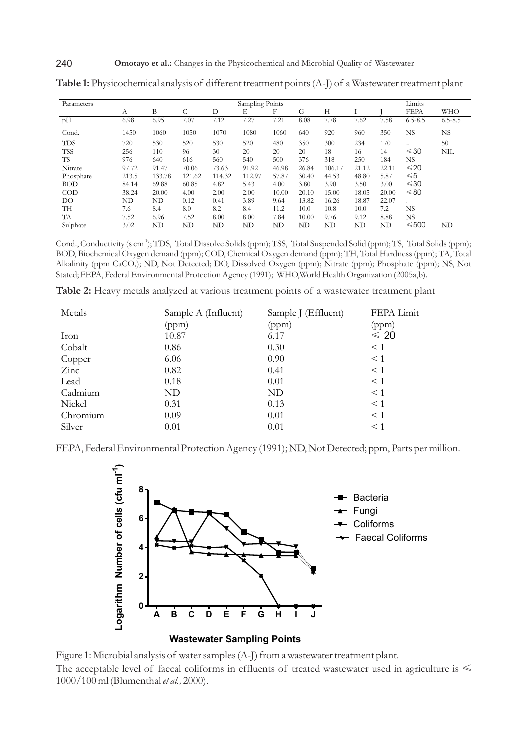| Parameters | Sampling Points |        |        |        |        |       |       |        | Limits |       |               |             |
|------------|-----------------|--------|--------|--------|--------|-------|-------|--------|--------|-------|---------------|-------------|
|            | A               | B      | С      | D      | Е      | F     | G     | Н      |        |       | <b>FEPA</b>   | <b>WHO</b>  |
| pH         | 6.98            | 6.95   | 7.07   | 7.12   | 7.27   | 7.21  | 8.08  | 7.78   | 7.62   | 7.58  | $6.5 - 8.5$   | $6.5 - 8.5$ |
| Cond.      | 1450            | 1060   | 1050   | 1070   | 1080   | 1060  | 640   | 920    | 960    | 350   | <b>NS</b>     | NS.         |
| <b>TDS</b> | 720             | 530    | 520    | 530    | 520    | 480   | 350   | 300    | 234    | 170   |               | 50          |
| <b>TSS</b> | 256             | 110    | 96     | 30     | 20     | 20    | 20    | 18     | 16     | 14    | $\leq 30$     | NIL         |
| TS         | 976             | 640    | 616    | 560    | 540    | 500   | 376   | 318    | 250    | 184   | <b>NS</b>     |             |
| Nitrate    | 97.72           | 91.47  | 70.06  | 73.63  | 91.92  | 46.98 | 26.84 | 106.17 | 21.12  | 22.11 | $\leq 20$     |             |
| Phosphate  | 213.5           | 133.78 | 121.62 | 114.32 | 112.97 | 57.87 | 30.40 | 44.53  | 48.80  | 5.87  | $\leqslant$ 5 |             |
| <b>BOD</b> | 84.14           | 69.88  | 60.85  | 4.82   | 5.43   | 4.00  | 3.80  | 3.90   | 3.50   | 3.00  | $\leq 30$     |             |
| $\rm{COD}$ | 38.24           | 20.00  | 4.00   | 2.00   | 2.00   | 10.00 | 20.10 | 15.00  | 18.05  | 20.00 | ≤ 80          |             |
| DO         | ND              | ND     | 0.12   | 0.41   | 3.89   | 9.64  | 13.82 | 16.26  | 18.87  | 22.07 |               |             |
| TH         | 7.6             | 8.4    | 8.0    | 8.2    | 8.4    | 11.2  | 10.0  | 10.8   | 10.0   | 7.2   | <b>NS</b>     |             |
| TA         | 7.52            | 6.96   | 7.52   | 8.00   | 8.00   | 7.84  | 10.00 | 9.76   | 9.12   | 8.88  | <b>NS</b>     |             |
| Sulphate   | 3.02            | ND     | ND     | ND     | ND     | ND    | ND    | ND     | ND     | ND    | $≤500$        | ND          |

**Table 1:** Physicochemical analysis of different treatment points (A-J) of a Wastewater treatment plant

Cond., Conductivity (s cm<sup>-1</sup>); TDS, Total Dissolve Solids (ppm); TSS, Total Suspended Solid (ppm); TS, Total Solids (ppm); BOD, Biochemical Oxygen demand (ppm); COD, Chemical Oxygen demand (ppm); TH, Total Hardness (ppm); TA, Total Alkalinity (ppm CaCO<sub>3</sub>); ND, Not Detected; DO, Dissolved Oxygen (ppm); Nitrate (ppm); Phosphate (ppm); NS, Not Stated; FEPA, Federal Environmental Protection Agency (1991); WHO,World Health Organization (2005a,b).

| Metals   | Sample A (Influent) | Sample J (Effluent) | FEPA Limit |  |  |
|----------|---------------------|---------------------|------------|--|--|
|          | (ppm)               | (ppm)               | (ppm)      |  |  |
| Iron     | 10.87               | 6.17                | $\leq 20$  |  |  |
| Cobalt   | 0.86                | 0.30                | $\leq 1$   |  |  |
| Copper   | 6.06                | 0.90                | $\leq 1$   |  |  |
| Zinc     | 0.82                | 0.41                | $\leq 1$   |  |  |
| Lead     | 0.18                | 0.01                | $\leq 1$   |  |  |
| Cadmium  | ND                  | ND                  | $\leq 1$   |  |  |
| Nickel   | 0.31                | 0.13                | $\leq 1$   |  |  |
| Chromium | 0.09                | 0.01                | $\leq 1$   |  |  |
| Silver   | 0.01                | 0.01                | $\leq 1$   |  |  |

**Table 2:** Heavy metals analyzed at various treatment points of a wastewater treatment plant

FEPA, Federal Environmental Protection Agency (1991); ND, Not Detected; ppm, Parts per million.



Figure 1: Microbial analysis of water samples (A-J) from a wastewater treatment plant. The acceptable level of faecal coliforms in effluents of treated wastewater used in agriculture is  $\leq$ 1000/100 ml (Blumenthal *et al.,* 2000).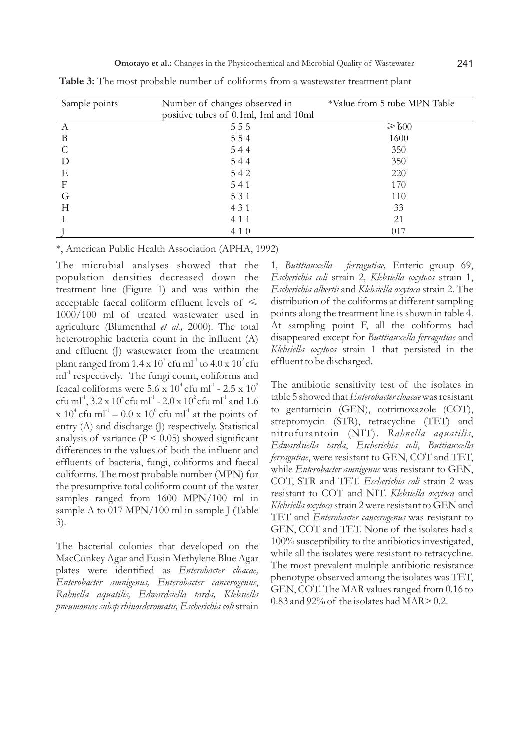| Sample points    | Number of changes observed in         | *Value from 5 tube MPN Table |  |  |  |
|------------------|---------------------------------------|------------------------------|--|--|--|
|                  | positive tubes of 0.1ml, 1ml and 10ml |                              |  |  |  |
| А                | 555                                   | $\geq 0.0$                   |  |  |  |
| B                | 554                                   | 1600                         |  |  |  |
|                  | 544                                   | 350                          |  |  |  |
| D                | 544                                   | 350                          |  |  |  |
| Е                | 542                                   | 220                          |  |  |  |
| $\boldsymbol{F}$ | 541                                   | 170                          |  |  |  |
| G                | 531                                   | 110                          |  |  |  |
| Н                | 4 3 1                                 | 33                           |  |  |  |
|                  | 4 1 1                                 | 21                           |  |  |  |
|                  | 410                                   | 017                          |  |  |  |

**Table 3:** The most probable number of coliforms from a wastewater treatment plant

\*, American Public Health Association (APHA, 1992)

The microbial analyses showed that the population densities decreased down the treatment line (Figure 1) and was within the acceptable faecal coliform effluent levels of  $\leq$ 1000/100 ml of treated wastewater used in agriculture (Blumenthal *et al.,* 2000). The total heterotrophic bacteria count in the influent (A) and effluent (J) wastewater from the treatment plant ranged from  $1.4 \times 10^{7}$  cfu ml<sup>-1</sup> to  $4.0 \times 10^{2}$  cfu  $ml<sup>-1</sup>$  respectively. The fungi count, coliforms and feacal coliforms were  $5.6 \times 10^4$  cfu ml<sup>-1</sup> -  $2.5 \times 10^2$ cfu ml<sup>-1</sup>,  $3.2 \times 10^4$  cfu ml<sup>-1</sup> -  $2.0 \times 10^2$  cfu ml<sup>-1</sup> and 1.6  $\ge 10^4$  cfu ml<sup>-1</sup> – 0.0  $\ge 10^0$  cfu ml<sup>-1</sup> at the points of entry (A) and discharge (J) respectively. Statistical analysis of variance ( $P < 0.05$ ) showed significant differences in the values of both the influent and effluents of bacteria, fungi, coliforms and faecal coliforms. The most probable number (MPN) for the presumptive total coliform count of the water samples ranged from 1600 MPN/100 ml in sample A to 017 MPN/100 ml in sample J (Table 3).

The bacterial colonies that developed on the MacConkey Agar and Eosin Methylene Blue Agar plates were identified as *Enterobacter cloacae, Enterobacter amnigenus, Enterobacter cancerogenus*, *Rahnella aquatilis, Edwardsiella tarda, Klebsiella pneumoniae subsp rhinosderomatis,Escherichia coli* strain

1*, Butttiauxella ferragutiae,* Enteric group 69, *Escherichia coli* strain 2*, Klebsiella oxytoca* strain 1, *Escherichia albertii* and *Klebsiella oxytoca* strain 2. The distribution of the coliforms at different sampling points along the treatment line is shown in table 4. At sampling point F, all the coliforms had disappeared except for *Butttiauxella ferragutiae* and *Klebsiella oxytoca* strain 1 that persisted in the effluent to be discharged.

The antibiotic sensitivity test of the isolates in table 5 showed that *Enterobacter cloacae*was resistant to gentamicin (GEN), cotrimoxazole (COT), streptomycin (STR), tetracycline (TET) and nitrofurantoin (NIT). *Rahnella aquatilis*, *Edwardsiella tarda*, *Escherichia coli*, *Buttiauxella ferragutiae*, were resistant to GEN, COT and TET, while *Enterobacter amnigenus* was resistant to GEN, COT, STR and TET. *Escherichia coli* strain 2 was resistant to COT and NIT. *Klebsiella oxytoca* and *Klebsiella oxytoca* strain 2 were resistant to GEN and TET and *Enterobacter cancerogenus* was resistant to GEN, COT and TET. None of the isolates had a 100% susceptibility to the antibiotics investigated, while all the isolates were resistant to tetracycline. The most prevalent multiple antibiotic resistance phenotype observed among the isolates was TET, GEN, COT. The MAR values ranged from 0.16 to 0.83 and 92% of the isolates had MAR> 0.2.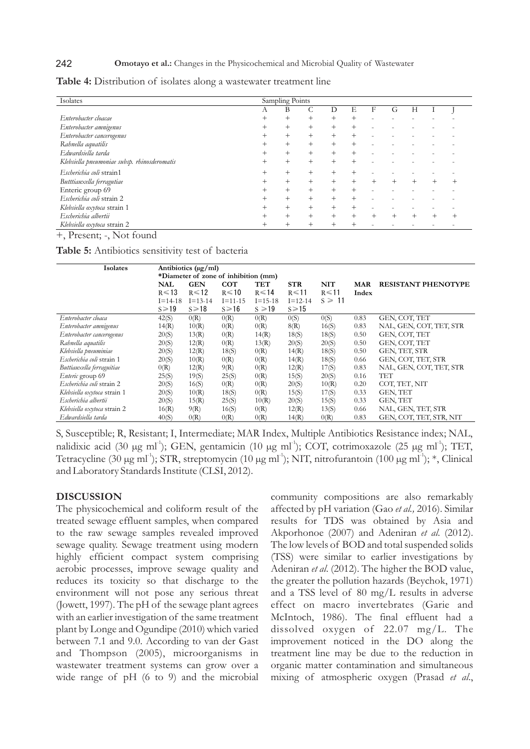#### 242 **Omotayo et al.:** Changes in the Physicochemical and Microbial Quality of Wastewater

| Isolates                                     | Sampling Points |        |        |        |      |   |        |   |  |  |
|----------------------------------------------|-----------------|--------|--------|--------|------|---|--------|---|--|--|
|                                              | Α               | В      |        |        | Е    | F | G      | Н |  |  |
| Enterobacter cloacae                         | $^{+}$          | $^{+}$ | $^{+}$ | $^{+}$ | $^+$ |   |        |   |  |  |
| Enterobacter amnigenus                       | $^+$            | $^{+}$ | $^+$   | $^{+}$ |      |   |        |   |  |  |
| Enterobacter cancerogenus                    | $^+$            | $^{+}$ | $^{+}$ | $^{+}$ |      |   |        |   |  |  |
| Rahnella aquatilis                           | $^+$            | $^{+}$ | $^{+}$ | $^{+}$ | $^+$ |   |        |   |  |  |
| Edwardsiella tarda                           | $^+$            | $^{+}$ | $+$    | $^{+}$ |      |   |        |   |  |  |
| Klebsiella pneumoniae subsp. rhinosderomatis | $^+$            | $^{+}$ | $^+$   | $^+$   |      |   |        |   |  |  |
| Escherichia coli strain1                     | $^+$            |        |        |        |      |   |        |   |  |  |
| Butttiauxella ferragutiae                    | $^{+}$          | $^{+}$ | $^{+}$ | $^{+}$ |      |   | $^{+}$ |   |  |  |
| Enteric group 69                             |                 | $^{+}$ |        |        |      |   |        |   |  |  |
| Escherichia coli strain 2                    | $^+$            | $^{+}$ | $^+$   | $^+$   | $^+$ |   |        |   |  |  |
| Klebsiella oxytoca strain 1                  |                 | $^{+}$ | $^{+}$ | $^{+}$ |      |   |        |   |  |  |
| Escherichia albertii                         |                 |        |        |        |      |   |        |   |  |  |
| Klebsiella oxytoca strain 2                  |                 |        |        |        |      |   |        |   |  |  |

**Table 4:** Distribution of isolates along a wastewater treatment line

+, Present; -, Not found

**Table 5:** Antibiotics sensitivity test of bacteria

| <b>Isolates</b>             | Antibiotics $(\mu g/ml)$             |               |               |               |               |             |            |                            |  |
|-----------------------------|--------------------------------------|---------------|---------------|---------------|---------------|-------------|------------|----------------------------|--|
|                             | *Diameter of zone of inhibition (mm) |               |               |               |               |             |            |                            |  |
|                             | <b>NAL</b>                           | <b>GEN</b>    | <b>COT</b>    | TET           | <b>STR</b>    | NIT         | <b>MAR</b> | <b>RESISTANT PHENOTYPE</b> |  |
|                             | $R \le 13$                           | $R \le 12$    | $R \le 10$    | $R \le 14$    | $R \le 11$    | $R \le 11$  | Index      |                            |  |
|                             | $I = 14-18$                          | $I = 13 - 14$ | $I = 11 - 15$ | $I = 15 - 18$ | $I = 12 - 14$ | $s \geq 11$ |            |                            |  |
|                             | $s \ge 19$                           | $s \ge 18$    | $S \ge 16$    | $s \ge 19$    | $S \ge 15$    |             |            |                            |  |
| Enterobacter cloaca         | 42(S)                                | 0(R)          | 0(R)          | O(R)          | 0(S)          | 0(S)        | 0.83       | GEN, COT, TET              |  |
| Enterobacter amnigenus      | 14(R)                                | 10(R)         | 0(R)          | O(R)          | 8(R)          | 16(S)       | 0.83       | NAL, GEN, COT, TET, STR    |  |
| Enterobacter cancerogenus   | 20(S)                                | 13(R)         | 0(R)          | 14(R)         | 18(S)         | 18(S)       | 0.50       | GEN, COT, TET              |  |
| Rahnella aquatilis          | 20(S)                                | 12(R)         | 0(R)          | 13(R)         | 20(S)         | 20(S)       | 0.50       | GEN, COT, TET              |  |
| Klebsiella pneuminiae       | 20(S)                                | 12(R)         | 18(S)         | O(R)          | 14(R)         | 18(S)       | 0.50       | GEN, TET, STR              |  |
| Escherichia coli strain 1   | 20(S)                                | 10(R)         | 0(R)          | O(R)          | 14(R)         | 18(S)       | 0.66       | GEN, COT, TET, STR         |  |
| Buttiauxella ferraguitiae   | O(R)                                 | 12(R)         | 9(R)          | O(R)          | 12(R)         | 17(S)       | 0.83       | NAL, GEN, COT, TET, STR    |  |
| Enteric group 69            | 25(S)                                | 19(S)         | 25(S)         | O(R)          | 15(S)         | 20(S)       | 0.16       | <b>TET</b>                 |  |
| Escherichia coli strain 2   | 20(S)                                | 16(S)         | 0(R)          | O(R)          | 20(S)         | 10(R)       | 0.20       | COT, TET, NIT              |  |
| Klebsiella oxytoca strain 1 | 20(S)                                | 10(R)         | 18(S)         | O(R)          | 15(S)         | 17(S)       | 0.33       | GEN, TET                   |  |
| Escherichia albertii        | 20(S)                                | 15(R)         | 25(S)         | 10(R)         | 20(S)         | 15(S)       | 0.33       | GEN, TET                   |  |
| Klebsiella oxytoca strain 2 | 16(R)                                | 9(R)          | 16(S)         | O(R)          | 12(R)         | 13(S)       | 0.66       | NAL, GEN, TET, STR         |  |
| Edwardsiella tarda          | 40(S)                                | O(R)          | 0(R)          | 0(R)          | 14(R)         | O(R)        | 0.83       | GEN, COT, TET, STR, NIT    |  |

S, Susceptible; R, Resistant; I, Intermediate; MAR Index, Multiple Antibiotics Resistance index; NAL, nalidixic acid (30 µg ml<sup>-1</sup>); GEN, gentamicin (10 µg ml<sup>-1</sup>); COT, cotrimoxazole (25 µg ml<sup>-1</sup>); TET, Tetracycline (30  $\mu$ g ml<sup>-1</sup>); STR, streptomycin (10  $\mu$ g ml<sup>-1</sup>); NIT, nitrofurantoin (100  $\mu$ g ml<sup>-1</sup>); \*, Clinical and Laboratory Standards Institute (CLSI, 2012).

#### **DISCUSSION**

The physicochemical and coliform result of the treated sewage effluent samples, when compared to the raw sewage samples revealed improved sewage quality. Sewage treatment using modern highly efficient compact system comprising aerobic processes, improve sewage quality and reduces its toxicity so that discharge to the environment will not pose any serious threat (Jowett, 1997). The pH of the sewage plant agrees with an earlier investigation of the same treatment plant by Longe and Ogundipe (2010) which varied between 7.1 and 9.0. According to van der Gast and Thompson (2005), microorganisms in wastewater treatment systems can grow over a wide range of pH (6 to 9) and the microbial community compositions are also remarkably affected by pH variation (Gao *et al.,* 2016). Similar results for TDS was obtained by Asia and Akporhonoe (2007) and Adeniran *et al*. (2012). The low levels of BOD and total suspended solids (TSS) were similar to earlier investigations by Adeniran *et al*. (2012). The higher the BOD value, the greater the pollution hazards (Beychok, 1971) and a TSS level of 80 mg/L results in adverse effect on macro invertebrates (Garie and McIntoch, 1986). The final effluent had a dissolved oxygen of 22.07 mg/L. The improvement noticed in the DO along the treatment line may be due to the reduction in organic matter contamination and simultaneous mixing of atmospheric oxygen (Prasad *et al*.,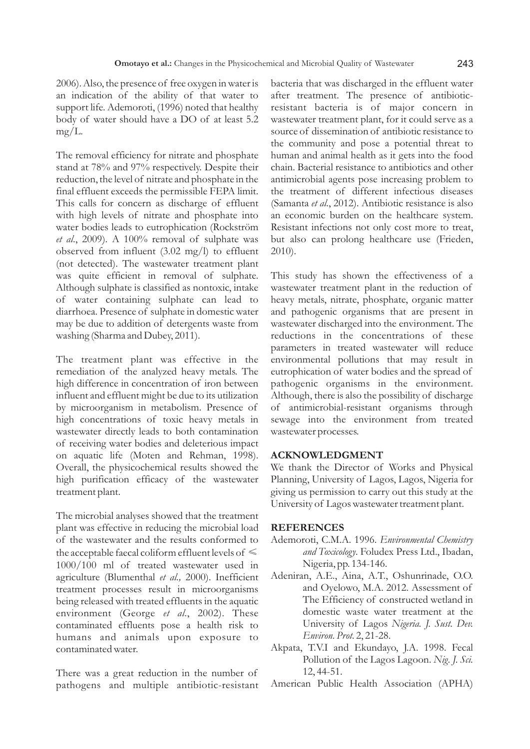2006). Also, the presence of free oxygen in water is an indication of the ability of that water to support life. Ademoroti, (1996) noted that healthy body of water should have a DO of at least 5.2 mg/L.

The removal efficiency for nitrate and phosphate stand at 78% and 97% respectively. Despite their reduction, the level of nitrate and phosphate in the final effluent exceeds the permissible FEPA limit. This calls for concern as discharge of effluent with high levels of nitrate and phosphate into water bodies leads to eutrophication (Rockström *et al*., 2009). A 100% removal of sulphate was observed from influent (3.02 mg/l) to effluent (not detected). The wastewater treatment plant was quite efficient in removal of sulphate. Although sulphate is classified as nontoxic, intake of water containing sulphate can lead to diarrhoea. Presence of sulphate in domestic water may be due to addition of detergents waste from washing (Sharma and Dubey, 2011).

The treatment plant was effective in the remediation of the analyzed heavy metals. The high difference in concentration of iron between influent and effluent might be due to its utilization by microorganism in metabolism. Presence of high concentrations of toxic heavy metals in wastewater directly leads to both contamination of receiving water bodies and deleterious impact on aquatic life (Moten and Rehman, 1998). Overall, the physicochemical results showed the high purification efficacy of the wastewater treatment plant.

The microbial analyses showed that the treatment plant was effective in reducing the microbial load of the wastewater and the results conformed to the acceptable faecal coliform effluent levels of  $\leq$ 1000/100 ml of treated wastewater used in agriculture (Blumenthal *et al.,* 2000). Inefficient treatment processes result in microorganisms being released with treated effluents in the aquatic environment (George *et al*., 2002). These contaminated effluents pose a health risk to humans and animals upon exposure to contaminated water.

There was a great reduction in the number of pathogens and multiple antibiotic-resistant bacteria that was discharged in the effluent water after treatment. The presence of antibioticresistant bacteria is of major concern in wastewater treatment plant, for it could serve as a source of dissemination of antibiotic resistance to the community and pose a potential threat to human and animal health as it gets into the food chain. Bacterial resistance to antibiotics and other antimicrobial agents pose increasing problem to the treatment of different infectious diseases (Samanta *et al*., 2012). Antibiotic resistance is also an economic burden on the healthcare system. Resistant infections not only cost more to treat, but also can prolong healthcare use (Frieden, 2010).

This study has shown the effectiveness of a wastewater treatment plant in the reduction of heavy metals, nitrate, phosphate, organic matter and pathogenic organisms that are present in wastewater discharged into the environment. The reductions in the concentrations of these parameters in treated wastewater will reduce environmental pollutions that may result in eutrophication of water bodies and the spread of pathogenic organisms in the environment. Although, there is also the possibility of discharge of antimicrobial-resistant organisms through sewage into the environment from treated wastewater processes.

#### **ACKNOWLEDGMENT**

We thank the Director of Works and Physical Planning, University of Lagos, Lagos, Nigeria for giving us permission to carry out this study at the University of Lagos wastewater treatment plant.

#### **REFERENCES**

- Ademoroti, C.M.A. 1996. *Environmental Chemistry and Toxicology*. Foludex Press Ltd., Ibadan, Nigeria, pp. 134-146.
- Adeniran, A.E., Aina, A.T., Oshunrinade, O.O. and Oyelowo, M.A. 2012. Assessment of The Efficiency of constructed wetland in domestic waste water treatment at the University of Lagos *Nigeria. J. Sust. Dev. Environ. Prot.* 2, 21-28.
- Akpata, T.V.I and Ekundayo, J.A. 1998. Fecal Pollution of the Lagos Lagoon. *Nig. J. Sci.*  12, 44-51.
- American Public Health Association (APHA)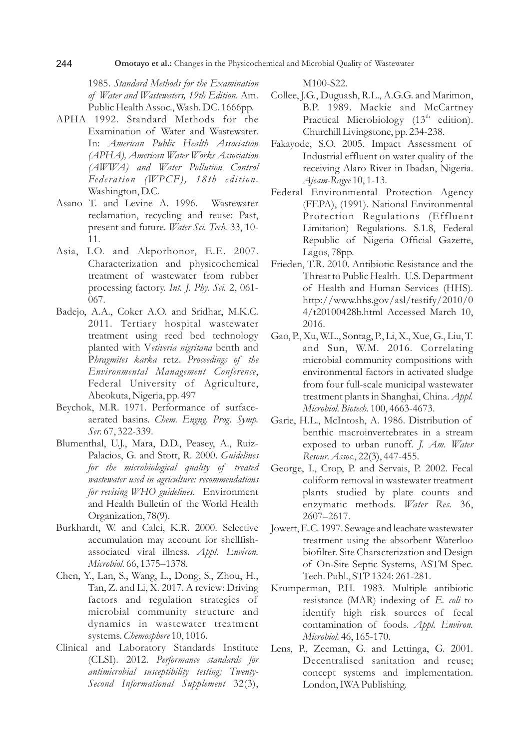1985. *Standard Methods for the Examination of Water and Wastewaters, 19th Edition*. Am. Public Health Assoc., Wash. DC. 1666pp.

- APHA 1992. Standard Methods for the Examination of Water and Wastewater. In: *American Public Health Association (APHA), American Water Works Association (AWWA) and Water Pollution Control Fed er a tion (WPCF), 18th ed ition.* Washington, D.C.
- Asano T. and Levine A. 1996. Wastewater reclamation, recycling and reuse: Past, present and future. *Water Sci. Tech.* 33, 10- 11.
- Asia, I.O. and Akporhonor, E.E. 2007. Characterization and physicochemical treatment of wastewater from rubber processing factory. *Int. J. Phy. Sci.* 2, 061- 067.
- Badejo, A.A., Coker A.O. and Sridhar, M.K.C. 2011. Tertiary hospital wastewater treatment using reed bed technology planted with V*etiveria nigritana* benth and P*hragmites karka* retz. *Proceedings of the Environmental Management Conference*, Federal University of Agriculture, Abeokuta, Nigeria, pp. 497
- Beychok, M.R. 1971. Performance of surfaceaerated basins. *Chem. Engng. Prog. Symp. Ser.* 67, 322-339.
- Blumenthal, U.J., Mara, D.D., Peasey, A., Ruiz-Palacios, G. and Stott, R. 2000. *Guidelines for the microbiological quality of treated wastewater used in agriculture: recommendations for revising WHO guidelines*. Environment and Health Bulletin of the World Health Organization, 78(9).
- Burkhardt, W. and Calci, K.R. 2000. Selective accumulation may account for shellfishassociated viral illness. *Appl. Environ. Microbiol.* 66, 1375–1378.
- Chen, Y., Lan, S., Wang, L., Dong, S., Zhou, H., Tan, Z. and Li, X. 2017. A review: Driving factors and regulation strategies of microbial community structure and dynamics in wastewater treatment systems. *Chemosphere* 10, 1016.
- Clinical and Laboratory Standards Institute (CLSI). 2012. *Performance standards for antimicrobial susceptibility testing; Twenty-Second Informational Supplement* 32(3),

M100-S22.

- Collee, J.G., Duguash, R.L., A.G.G. and Marimon, B.P. 1989. Mackie and McCartney Practical Microbiology (13<sup>th</sup> edition). Churchill Livingstone, pp. 234-238.
- Fakayode, S.O. 2005. Impact Assessment of Industrial effluent on water quality of the receiving Alaro River in Ibadan, Nigeria. *Ajeam-Ragee* 10, 1-13.
- Federal Environmental Protection Agency (FEPA), (1991). National Environmental Protection Regulations (Effluent Limitation) Regulations. S.1.8, Federal Republic of Nigeria Official Gazette, Lagos, 78pp.
- Frieden, T.R. 2010. Antibiotic Resistance and the Threat to Public Health. U.S. Department of Health and Human Services (HHS). http://www.hhs.gov/asl/testify/2010/0 4/t20100428b.html Accessed March 10, 2016.
- Gao, P., Xu, W.L., Sontag, P., Li, X., Xue, G., Liu, T. and Sun, W.M. 2016. Correlating microbial community compositions with environmental factors in activated sludge from four full-scale municipal wastewater treatment plants in Shanghai, China. *Appl. Microbiol. Biotech.* 100, 4663-4673.
- Garie, H.L., McIntosh, A. 1986. Distribution of benthic macroinvertebrates in a stream exposed to urban runoff. *J. Am. Water Resour. Assoc.*, 22(3), 447-455.
- George, I., Crop, P. and Servais, P. 2002. Fecal coliform removal in wastewater treatment plants studied by plate counts and enzymatic methods. *Water Res.* 36, 2607–2617.
- Jowett, E.C. 1997. Sewage and leachate wastewater treatment using the absorbent Waterloo biofilter. Site Characterization and Design of On-Site Septic Systems, ASTM Spec. Tech. Publ., STP 1324: 261-281.
- Krumperman, P.H. 1983. Multiple antibiotic resistance (MAR) indexing of *E. coli* to identify high risk sources of fecal contamination of foods. *Appl. Environ. Microbiol.* 46, 165-170.
- Lens, P., Zeeman, G. and Lettinga, G. 2001. Decentralised sanitation and reuse; concept systems and implementation. London, IWA Publishing.